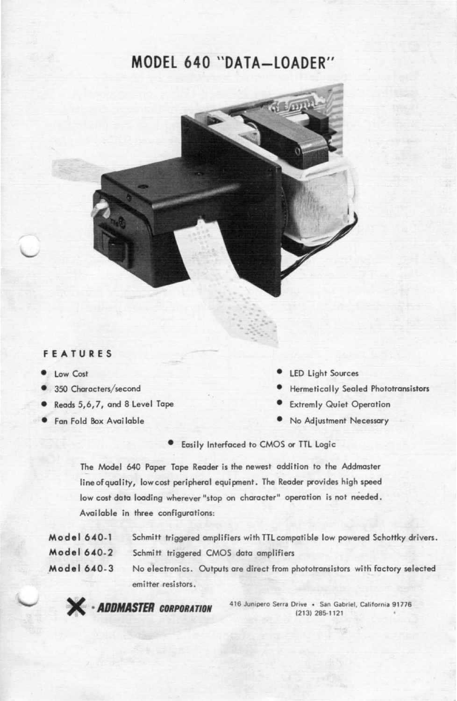# **MODEL 640 "DATA-LOADER"**



#### **FEATURES**

- Low Cost
- 350 Characters/second
- Reads 5,6,7, and 8 Level Tape Extremly Quiet Operation
- **•** Fan Fold Box Available
- LED Light Sources
- Hermetically Sealed Phototransistors
- 
- No Adjustment Necessary

• Easily Interfaced to CMOS or TTL Logic

The Model 640 Paper Tope Reader is the newest addition to the Addmaster line of quality, low cost peripheral equipment. The Reader provides high speed low cost data loading wherever "stop on character" operation is not needed. Avoi lable in three configurations:

| Model 640-1 | Schmitt triggered amplifiers with TTL compatible low powered Schottky drivers. |
|-------------|--------------------------------------------------------------------------------|
| Model 640-2 | Schmitt triggered CMOS data amplifiers                                         |
| Model 640-3 | No electronics. Outputs are direct from phototransistors with factory selected |
|             | emitter resistors.                                                             |

~ **•** *AOOMASTER* **CORPORATION <sup>41</sup> 6 Junipero Serra Drive . San Gabriel, Cal ifornia 91776**  (213) 285- 1121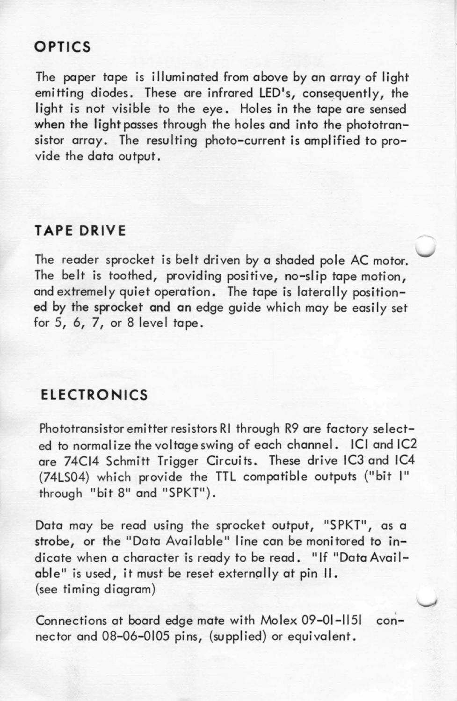## **OPTICS**

The paper tape is illuminated from above by an array of light emitting diodes. These are infrared LED's, consequently, the light is not visible to the eye. Holes in the tape are sensed when the light passes through the holes and into the phototransistor array. The resulting photo-current is amplified to provide the data output.

#### **TAPE DRIVE**

The reader sprocket is belt driven by a shaded pole AC motor. The belt is toothed, providing positive, no-slip tape motion, and extremely quiet operation. The tape is laterally positioned by the sprocket and on edge guide which may be easily set for 5, 6, 7, or 8 level tape.

### **ELECTRONICS**

Phototransistor emitter resistors RI through R9 are factory selected to normalize the voltage swing of each channel. ICI and IC2 are 74CI4 Schmitt Trigger Circuits. These drive IC3 and IC4 (74LS04) which provide the TTL compatible outputs ("bit I" through "bit 8" and "SPKT").

Data may be read using the sprocket output, "SPKT", as a strobe, or the "Data Available" line can be monitored to indicate when a character is ready to be read. "If "Data Available" is used, it must be reset externally at pin II. (see timing diagram)

Connections at board edge mate with Molex 09-01-1151 connector and 08-06-0105 pins, (supplied) or equivalent.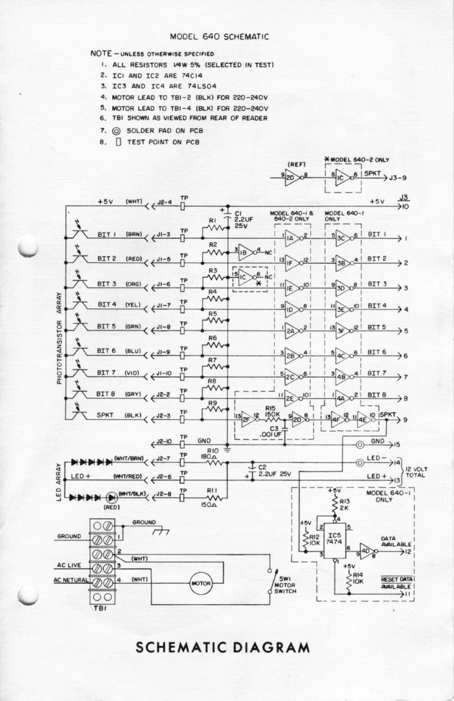#### MODEL 640 SCHEMATIC

#### NOTE - UNLESS OTHERWISE SPECIFIED

- 1. ALL RESISTORS 1/4W 5% (SELECTED IN TEST)
- 2. ICI AND IC2 ARE 74C14
- 3. IC3 AND IC4 ARE 74LS04
- 4. MOTOR LEAD TO TBI-2 (BLK) FOR 220-240V
- 5. MOTOR LEAD TO TBI-4 (BLK) FOR 220-240V
- 6. TBI SHOWN AS VIEWED FROM REAR OF READER
- SOLDER PAD ON PCB 7.
- TEST POINT ON PCB 8.



### **SCHEMATIC DIAGRAM**